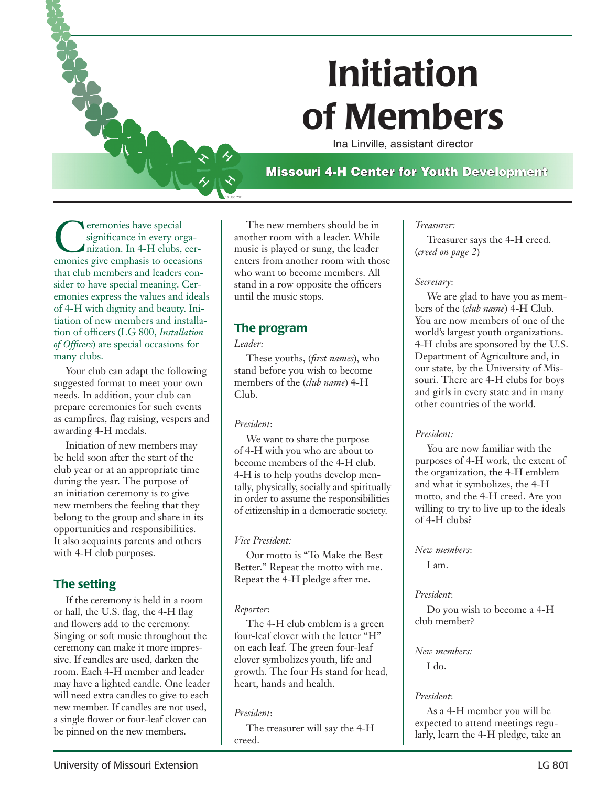

Ina Linville, assistant director

## Missouri 4-H Center for Youth Development

eremonies have special significance in every organization. In 4-H clubs, ceremonies give emphasis to occasions that club members and leaders consider to have special meaning. Ceremonies express the values and ideals of 4-H with dignity and beauty. Initiation of new members and installation of officers (LG 800, *Installation of Officers*) are special occasions for many clubs.

Your club can adapt the following suggested format to meet your own needs. In addition, your club can prepare ceremonies for such events as campfires, flag raising, vespers and awarding 4-H medals.

Initiation of new members may be held soon after the start of the club year or at an appropriate time during the year. The purpose of an initiation ceremony is to give new members the feeling that they belong to the group and share in its opportunities and responsibilities. It also acquaints parents and others with 4-H club purposes.

## The setting

If the ceremony is held in a room or hall, the U.S. flag, the 4-H flag and flowers add to the ceremony. Singing or soft music throughout the ceremony can make it more impressive. If candles are used, darken the room. Each 4-H member and leader may have a lighted candle. One leader will need extra candles to give to each new member. If candles are not used, a single flower or four-leaf clover can be pinned on the new members.

The new members should be in another room with a leader. While music is played or sung, the leader enters from another room with those who want to become members. All stand in a row opposite the officers until the music stops.

### The program

#### *Leader:*

18 USC 707

These youths, (*first names*), who stand before you wish to become members of the (*club name*) 4-H Club.

#### *President*:

We want to share the purpose of 4-H with you who are about to become members of the 4-H club. 4-H is to help youths develop mentally, physically, socially and spiritually in order to assume the responsibilities of citizenship in a democratic society.

#### *Vice President:*

Our motto is "To Make the Best Better." Repeat the motto with me. Repeat the 4-H pledge after me.

#### *Reporter*:

The 4-H club emblem is a green four-leaf clover with the letter "H" on each leaf. The green four-leaf clover symbolizes youth, life and growth. The four Hs stand for head, heart, hands and health.

#### *President*:

The treasurer will say the 4-H creed.

#### *Treasurer:*

Treasurer says the 4-H creed. (*creed on page 2*)

#### *Secretary*:

We are glad to have you as members of the (*club name*) 4-H Club. You are now members of one of the world's largest youth organizations. 4-H clubs are sponsored by the U.S. Department of Agriculture and, in our state, by the University of Missouri. There are 4-H clubs for boys and girls in every state and in many other countries of the world.

#### *President:*

You are now familiar with the purposes of 4-H work, the extent of the organization, the 4-H emblem and what it symbolizes, the 4-H motto, and the 4-H creed. Are you willing to try to live up to the ideals of 4-H clubs?

#### *New members*:

I am.

#### *President*:

Do you wish to become a 4-H club member?

#### *New members:*

I do.

#### *President*:

As a 4-H member you will be expected to attend meetings regularly, learn the 4-H pledge, take an